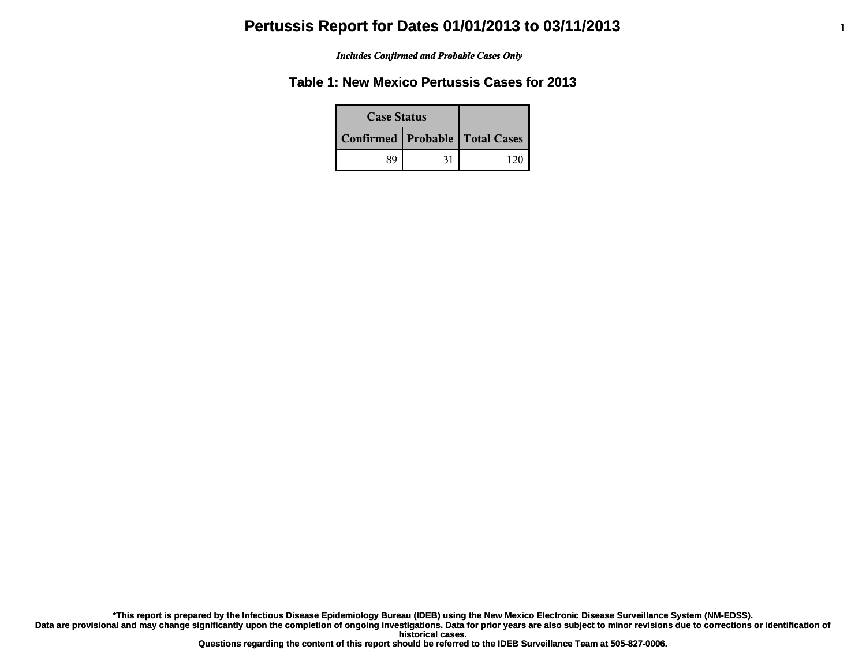#### *Includes Confirmed and Probable Cases Only*

## **Table 1: New Mexico Pertussis Cases for 2013**

| <b>Case Status</b>                 |    |     |
|------------------------------------|----|-----|
| Confirmed   Probable   Total Cases |    |     |
| 89                                 | 31 | 120 |

**\*This report is prepared by the Infectious Disease Epidemiology Bureau (IDEB) using the New Mexico Electronic Disease Surveillance System (NM-EDSS).**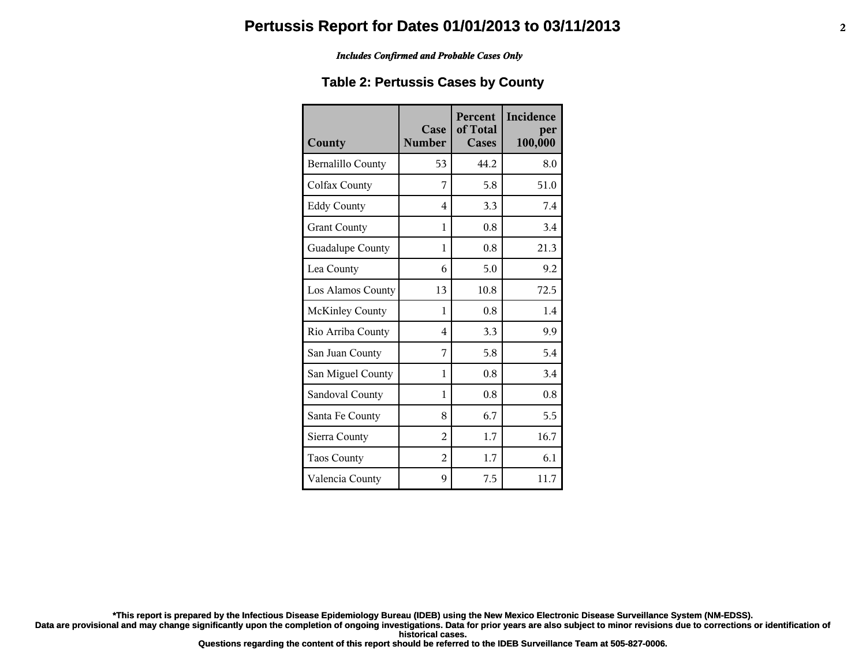#### *Includes Confirmed and Probable Cases Only*

### **Table 2: Pertussis Cases by County**

| County                   | Case<br><b>Number</b> | <b>Percent</b><br>of Total<br>Cases | Incidence<br>per<br>100,000 |
|--------------------------|-----------------------|-------------------------------------|-----------------------------|
| <b>Bernalillo County</b> | 53                    | 44.2                                | 8.0                         |
| Colfax County            | 7                     | 5.8                                 | 51.0                        |
| <b>Eddy County</b>       | 4                     | 3.3                                 | 7.4                         |
| <b>Grant County</b>      | 1                     | 0.8                                 | 3.4                         |
| Guadalupe County         | 1                     | 0.8                                 | 21.3                        |
| Lea County               | 6                     | 5.0                                 | 9.2                         |
| Los Alamos County        | 13                    | 10.8                                | 72.5                        |
| <b>McKinley County</b>   | 1                     | 0.8                                 | 1.4                         |
| Rio Arriba County        | 4                     | 3.3                                 | 9.9                         |
| San Juan County          | 7                     | 5.8                                 | 5.4                         |
| San Miguel County        | 1                     | 0.8                                 | 3.4                         |
| Sandoval County          | 1                     | 0.8                                 | 0.8                         |
| Santa Fe County          | 8                     | 6.7                                 | 5.5                         |
| Sierra County            | $\mathfrak{D}$        | 1.7                                 | 16.7                        |
| <b>Taos County</b>       | $\overline{2}$        | 1.7                                 | 6.1                         |
| Valencia County          | 9                     | 7.5                                 | 11.7                        |

**\*This report is prepared by the Infectious Disease Epidemiology Bureau (IDEB) using the New Mexico Electronic Disease Surveillance System (NM-EDSS).**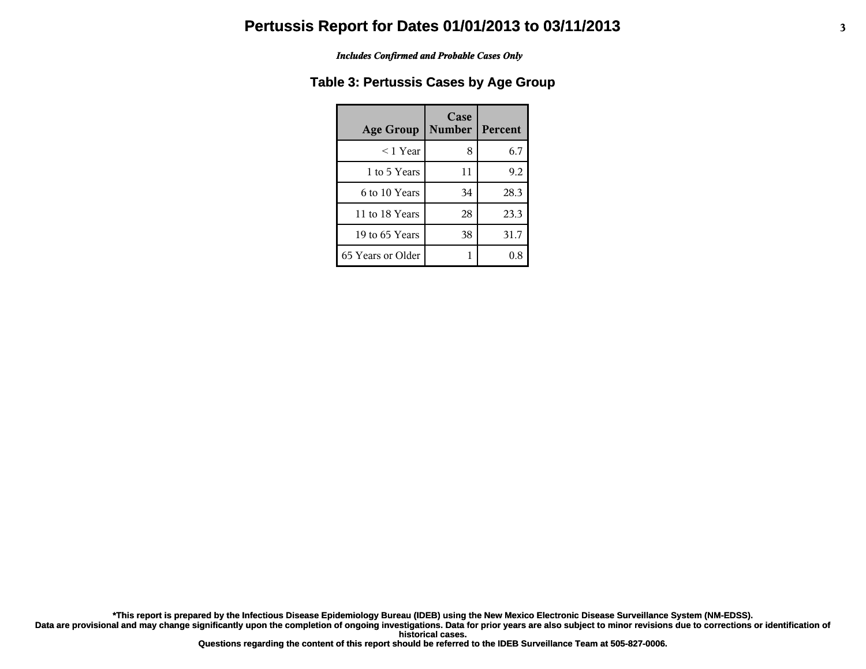#### *Includes Confirmed and Probable Cases Only*

## **Table 3: Pertussis Cases by Age Group**

| <b>Age Group</b>  | Case<br><b>Number</b> | Percent |
|-------------------|-----------------------|---------|
| $<$ 1 Year        | 8                     | 6.7     |
| 1 to 5 Years      | 11                    | 9.2     |
| 6 to 10 Years     | 34                    | 28.3    |
| 11 to 18 Years    | 28                    | 23.3    |
| 19 to 65 Years    | 38                    | 31.7    |
| 65 Years or Older |                       |         |

**\*This report is prepared by the Infectious Disease Epidemiology Bureau (IDEB) using the New Mexico Electronic Disease Surveillance System (NM-EDSS).**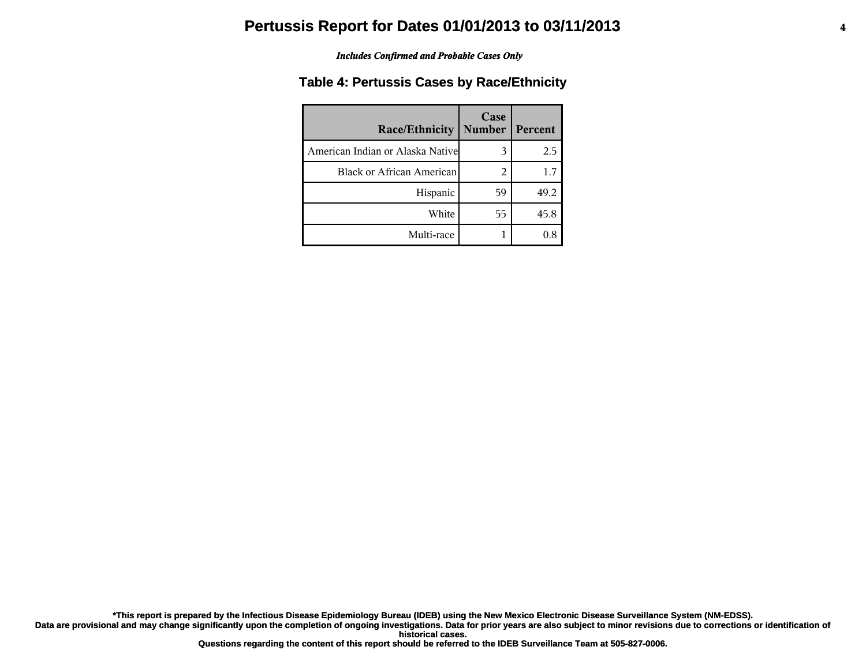#### *Includes Confirmed and Probable Cases Only*

### **Table 4: Pertussis Cases by Race/Ethnicity**

| <b>Race/Ethnicity</b>             | Case<br><b>Number</b> | Percent |
|-----------------------------------|-----------------------|---------|
| American Indian or Alaska Nativel | 3                     | 2.5     |
| <b>Black or African American</b>  | 2                     | 1.7     |
| Hispanic                          | 59                    | 49.2    |
| White                             | 55                    | 45.8    |
| Multi-race                        |                       | 0.8     |

**\*This report is prepared by the Infectious Disease Epidemiology Bureau (IDEB) using the New Mexico Electronic Disease Surveillance System (NM-EDSS).**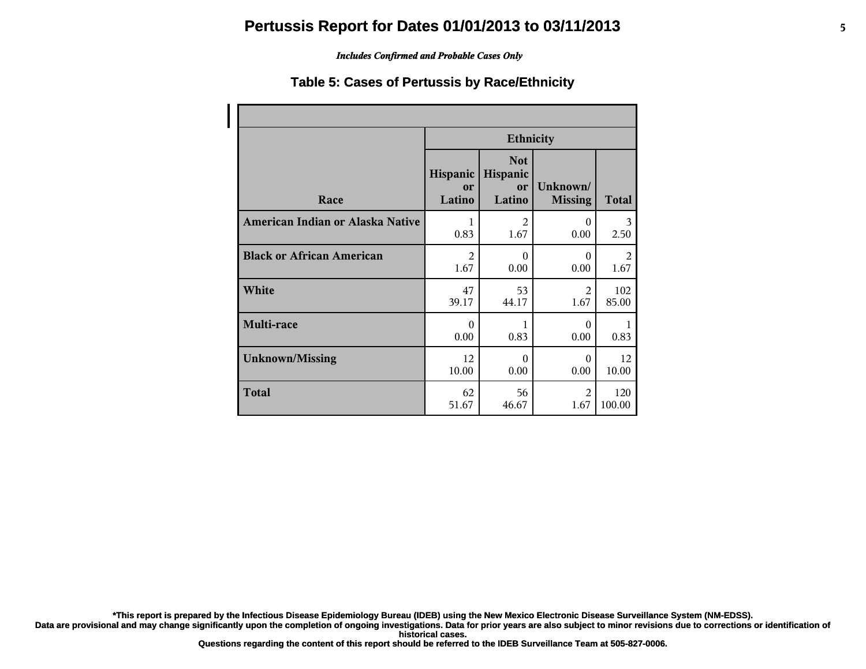### *Includes Confirmed and Probable Cases Only*

### **Table 5: Cases of Pertussis by Race/Ethnicity**

|                                  | <b>Ethnicity</b>         |                                        |                            |        |
|----------------------------------|--------------------------|----------------------------------------|----------------------------|--------|
| Race                             | Hispanic<br>or<br>Latino | <b>Not</b><br>Hispanic<br>or<br>Latino | Unknown/<br><b>Missing</b> | Total  |
| American Indian or Alaska Native | 1                        | $\overline{2}$                         | $\theta$                   | 3      |
|                                  | 0.83                     | 1.67                                   | 0.00                       | 2.50   |
| <b>Black or African American</b> | $\overline{2}$           | $\Omega$                               | $\Omega$                   | 2      |
|                                  | 1.67                     | 0.00                                   | 0.00                       | 1.67   |
| White                            | 47                       | 53                                     | $\mathfrak{D}$             | 102    |
|                                  | 39.17                    | 44.17                                  | 1.67                       | 85.00  |
| Multi-race                       | $\Omega$<br>0.00         | 1<br>0.83                              | $\Omega$<br>0.00           | 0.83   |
| <b>Unknown/Missing</b>           | 12                       | $\theta$                               | $\Omega$                   | 12     |
|                                  | 10.00                    | 0.00                                   | 0.00                       | 10.00  |
| <b>Total</b>                     | 62                       | 56                                     | $\mathfrak{D}$             | 120    |
|                                  | 51.67                    | 46.67                                  | 1.67                       | 100.00 |

**\*This report is prepared by the Infectious Disease Epidemiology Bureau (IDEB) using the New Mexico Electronic Disease Surveillance System (NM-EDSS).**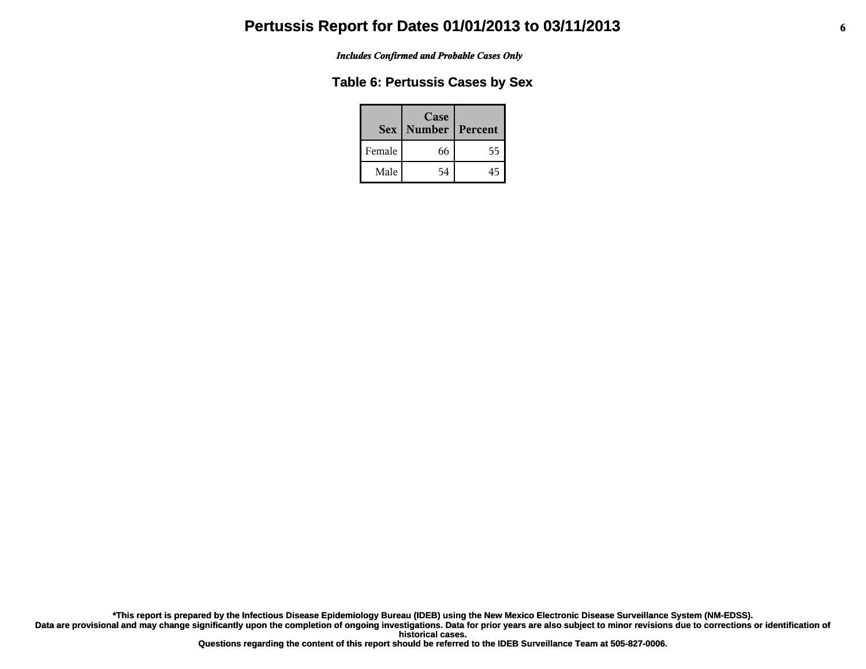*Includes Confirmed and Probable Cases Only*

## **Table 6: Pertussis Cases by Sex**

|        | Case<br>Sex   Number | Percent |
|--------|----------------------|---------|
| Female | 66                   | לל      |
| Male   | 54                   |         |

**\*This report is prepared by the Infectious Disease Epidemiology Bureau (IDEB) using the New Mexico Electronic Disease Surveillance System (NM-EDSS).**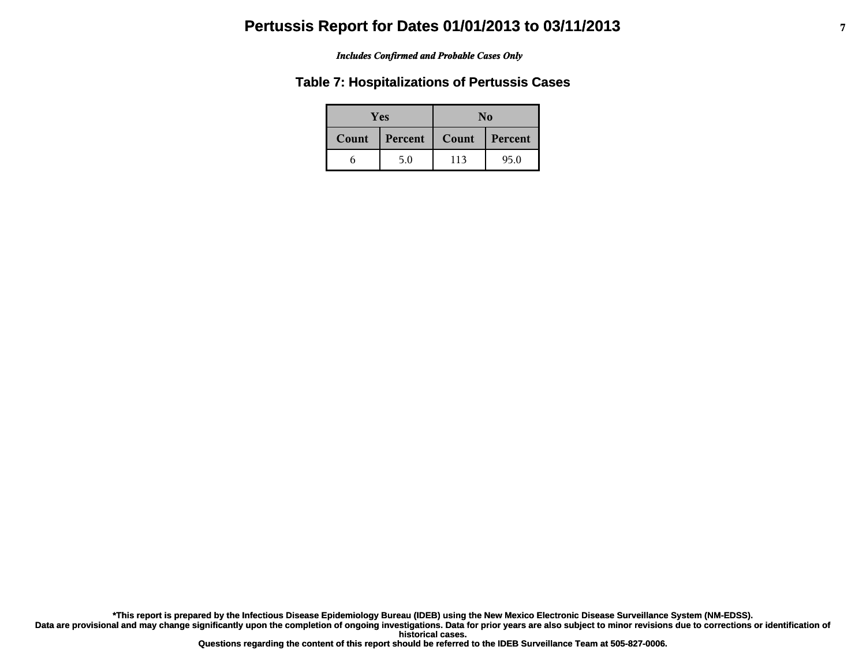#### *Includes Confirmed and Probable Cases Only*

## **Table 7: Hospitalizations of Pertussis Cases**

| Yes   |         | No    |         |
|-------|---------|-------|---------|
| Count | Percent | Count | Percent |
|       | 5.0     | 113   | 95.0    |

**\*This report is prepared by the Infectious Disease Epidemiology Bureau (IDEB) using the New Mexico Electronic Disease Surveillance System (NM-EDSS).**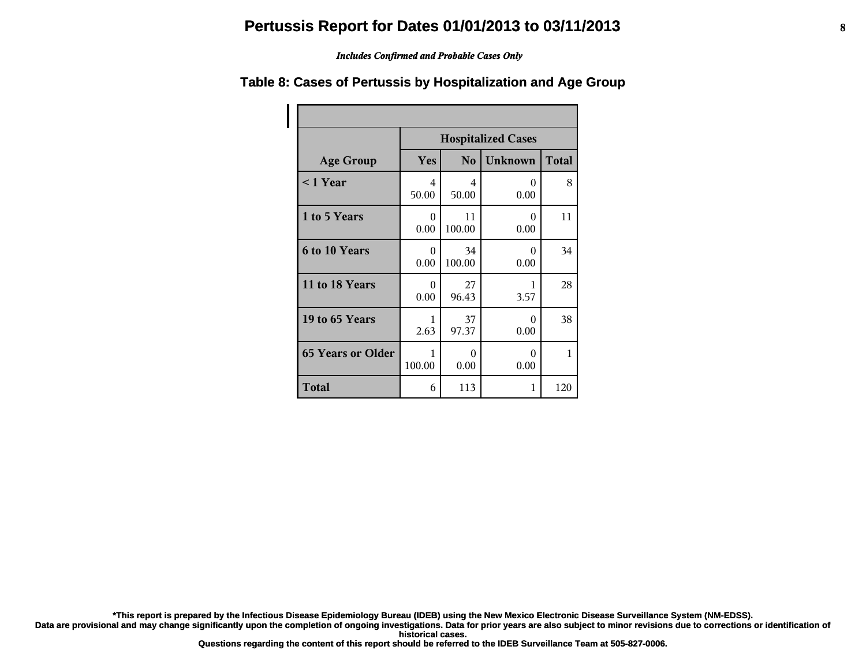#### *Includes Confirmed and Probable Cases Only*

#### **Age Group Hospitalized Cases Yes No Unknown Total < 1 Year** 4 50.00 4 50.00 0 0.00 8 **1 to 5 Years** 1 0 0.00 11 100.00 0 0.00 11 **6 to 10 Years** 1 0 0.00 34 100.00 0 0.00 34 **11 to 18 Years** 1 0 0.00 27 96.43 1 3.57 28 **19 to 65 Years** 1 2.63 37 97.37 0 0.00 38 **65 Years or Older** 1 100.00 0 0.00 0 0.00 1 **Total** 6 113 1 120

### **Table 8: Cases of Pertussis by Hospitalization and Age Group**

**\*This report is prepared by the Infectious Disease Epidemiology Bureau (IDEB) using the New Mexico Electronic Disease Surveillance System (NM-EDSS).**